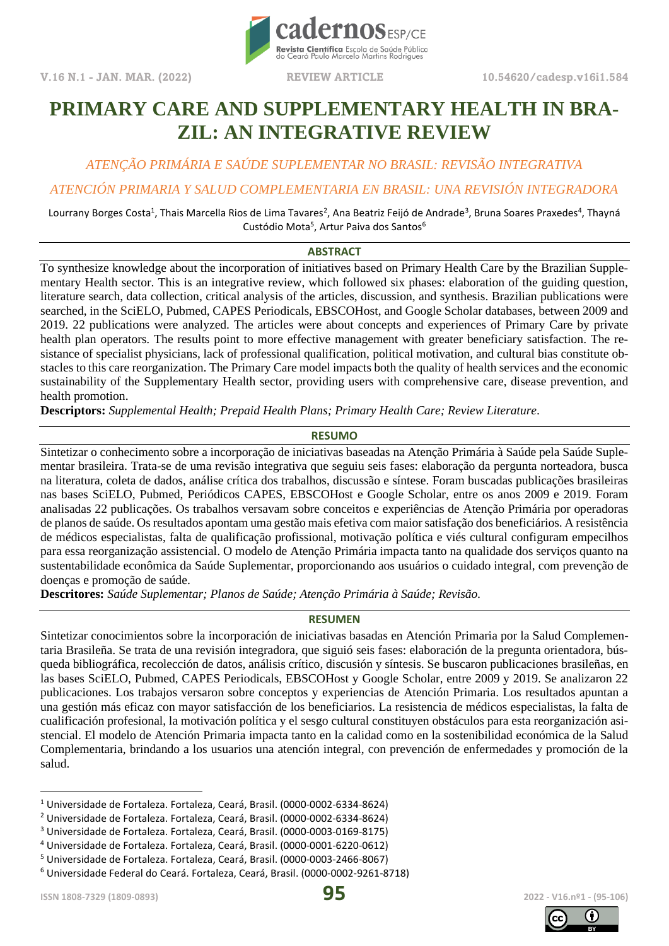**V.16 N.1 - JAN. MAR. (2022) REVIEW ARTICLE 10.54620/cadesp.v16i1.584**



# **PRIMARY CARE AND SUPPLEMENTARY HEALTH IN BRA-ZIL: AN INTEGRATIVE REVIEW**

*ATENÇÃO PRIMÁRIA E SAÚDE SUPLEMENTAR NO BRASIL: REVISÃO INTEGRATIVA*

### *ATENCIÓN PRIMARIA Y SALUD COMPLEMENTARIA EN BRASIL: UNA REVISIÓN INTEGRADORA*

Lourrany Borges Costa<sup>1</sup>, Thais Marcella Rios de Lima Tavares<sup>2</sup>, Ana Beatriz Feijó de Andrade<sup>3</sup>, Bruna Soares Praxedes<sup>4</sup>, Thayná Custódio Mota<sup>5</sup>, Artur Paiva dos Santos<sup>6</sup>

### **ABSTRACT**

To synthesize knowledge about the incorporation of initiatives based on Primary Health Care by the Brazilian Supplementary Health sector. This is an integrative review, which followed six phases: elaboration of the guiding question, literature search, data collection, critical analysis of the articles, discussion, and synthesis. Brazilian publications were searched, in the SciELO, Pubmed, CAPES Periodicals, EBSCOHost, and Google Scholar databases, between 2009 and 2019. 22 publications were analyzed. The articles were about concepts and experiences of Primary Care by private health plan operators. The results point to more effective management with greater beneficiary satisfaction. The resistance of specialist physicians, lack of professional qualification, political motivation, and cultural bias constitute obstacles to this care reorganization. The Primary Care model impacts both the quality of health services and the economic sustainability of the Supplementary Health sector, providing users with comprehensive care, disease prevention, and health promotion.

**Descriptors:** *Supplemental Health; Prepaid Health Plans; Primary Health Care; Review Literature.*

### **RESUMO**

Sintetizar o conhecimento sobre a incorporação de iniciativas baseadas na Atenção Primária à Saúde pela Saúde Suplementar brasileira. Trata-se de uma revisão integrativa que seguiu seis fases: elaboração da pergunta norteadora, busca na literatura, coleta de dados, análise crítica dos trabalhos, discussão e síntese. Foram buscadas publicações brasileiras nas bases SciELO, Pubmed, Periódicos CAPES, EBSCOHost e Google Scholar, entre os anos 2009 e 2019. Foram analisadas 22 publicações. Os trabalhos versavam sobre conceitos e experiências de Atenção Primária por operadoras de planos de saúde. Os resultados apontam uma gestão mais efetiva com maior satisfação dos beneficiários. A resistência de médicos especialistas, falta de qualificação profissional, motivação política e viés cultural configuram empecilhos para essa reorganização assistencial. O modelo de Atenção Primária impacta tanto na qualidade dos serviços quanto na sustentabilidade econômica da Saúde Suplementar, proporcionando aos usuários o cuidado integral, com prevenção de doenças e promoção de saúde.

**Descritores:** *Saúde Suplementar; Planos de Saúde; Atenção Primária à Saúde; Revisão.*

### **RESUMEN**

Sintetizar conocimientos sobre la incorporación de iniciativas basadas en Atención Primaria por la Salud Complementaria Brasileña. Se trata de una revisión integradora, que siguió seis fases: elaboración de la pregunta orientadora, búsqueda bibliográfica, recolección de datos, análisis crítico, discusión y síntesis. Se buscaron publicaciones brasileñas, en las bases SciELO, Pubmed, CAPES Periodicals, EBSCOHost y Google Scholar, entre 2009 y 2019. Se analizaron 22 publicaciones. Los trabajos versaron sobre conceptos y experiencias de Atención Primaria. Los resultados apuntan a una gestión más eficaz con mayor satisfacción de los beneficiarios. La resistencia de médicos especialistas, la falta de cualificación profesional, la motivación política y el sesgo cultural constituyen obstáculos para esta reorganización asistencial. El modelo de Atención Primaria impacta tanto en la calidad como en la sostenibilidad económica de la Salud Complementaria, brindando a los usuarios una atención integral, con prevención de enfermedades y promoción de la salud.





<sup>1</sup> Universidade de Fortaleza. Fortaleza, Ceará, Brasil. (0000-0002-6334-8624)

<sup>2</sup> Universidade de Fortaleza. Fortaleza, Ceará, Brasil. (0000-0002-6334-8624)

<sup>3</sup> Universidade de Fortaleza. Fortaleza, Ceará, Brasil. (0000-0003-0169-8175)

<sup>4</sup> Universidade de Fortaleza. Fortaleza, Ceará, Brasil. (0000-0001-6220-0612)

<sup>5</sup> Universidade de Fortaleza. Fortaleza, Ceará, Brasil. (0000-0003-2466-8067)

<sup>6</sup> Universidade Federal do Ceará. Fortaleza, Ceará, Brasil. (0000-0002-9261-8718)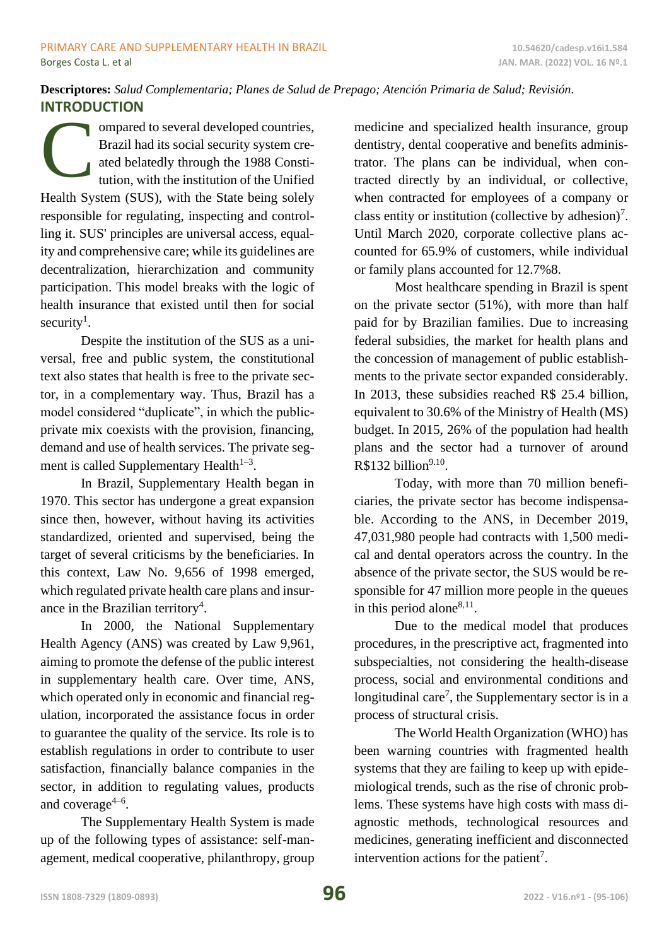# **Descriptores:** *Salud Complementaria; Planes de Salud de Prepago; Atención Primaria de Salud; Revisión.* **INTRODUCTION**

ompared to several developed countries, Brazil had its social security system created belatedly through the 1988 Constitution, with the institution of the Unified Health System (SUS), with the State being solely responsible for regulating, inspecting and controlling it. SUS' principles are universal access, equality and comprehensive care; while its guidelines are decentralization, hierarchization and community participation. This model breaks with the logic of health insurance that existed until then for social security<sup>1</sup>. C

Despite the institution of the SUS as a universal, free and public system, the constitutional text also states that health is free to the private sector, in a complementary way. Thus, Brazil has a model considered "duplicate", in which the publicprivate mix coexists with the provision, financing, demand and use of health services. The private segment is called Supplementary Health $1-3$ .

In Brazil, Supplementary Health began in 1970. This sector has undergone a great expansion since then, however, without having its activities standardized, oriented and supervised, being the target of several criticisms by the beneficiaries. In this context, Law No. 9,656 of 1998 emerged, which regulated private health care plans and insurance in the Brazilian territory<sup>4</sup>.

In 2000, the National Supplementary Health Agency (ANS) was created by Law 9,961, aiming to promote the defense of the public interest in supplementary health care. Over time, ANS, which operated only in economic and financial regulation, incorporated the assistance focus in order to guarantee the quality of the service. Its role is to establish regulations in order to contribute to user satisfaction, financially balance companies in the sector, in addition to regulating values, products and coverage $4-6$ .

The Supplementary Health System is made up of the following types of assistance: self-management, medical cooperative, philanthropy, group medicine and specialized health insurance, group dentistry, dental cooperative and benefits administrator. The plans can be individual, when contracted directly by an individual, or collective, when contracted for employees of a company or class entity or institution (collective by adhesion)<sup>7</sup>. Until March 2020, corporate collective plans accounted for 65.9% of customers, while individual or family plans accounted for 12.7%8.

Most healthcare spending in Brazil is spent on the private sector (51%), with more than half paid for by Brazilian families. Due to increasing federal subsidies, the market for health plans and the concession of management of public establishments to the private sector expanded considerably. In 2013, these subsidies reached R\$ 25.4 billion, equivalent to 30.6% of the Ministry of Health (MS) budget. In 2015, 26% of the population had health plans and the sector had a turnover of around  $R$132 billion<sup>9.10</sup>$ .

Today, with more than 70 million beneficiaries, the private sector has become indispensable. According to the ANS, in December 2019, 47,031,980 people had contracts with 1,500 medical and dental operators across the country. In the absence of the private sector, the SUS would be responsible for 47 million more people in the queues in this period alone $^{8,11}$ .

Due to the medical model that produces procedures, in the prescriptive act, fragmented into subspecialties, not considering the health-disease process, social and environmental conditions and longitudinal care<sup>7</sup>, the Supplementary sector is in a process of structural crisis.

The World Health Organization (WHO) has been warning countries with fragmented health systems that they are failing to keep up with epidemiological trends, such as the rise of chronic problems. These systems have high costs with mass diagnostic methods, technological resources and medicines, generating inefficient and disconnected intervention actions for the patient<sup>7</sup>.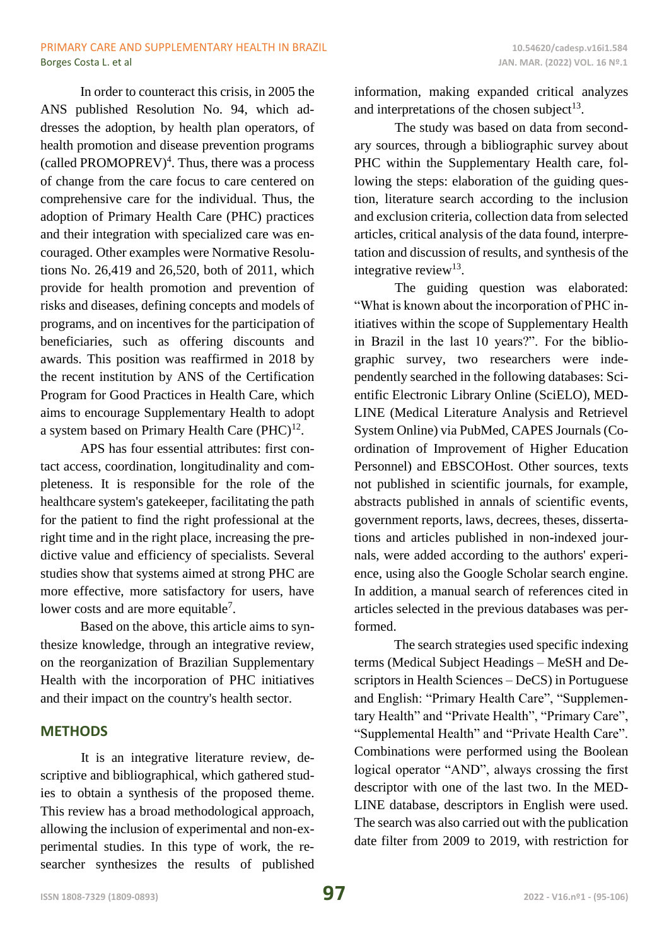In order to counteract this crisis, in 2005 the ANS published Resolution No. 94, which addresses the adoption, by health plan operators, of health promotion and disease prevention programs (called PROMOPREV)<sup>4</sup>. Thus, there was a process of change from the care focus to care centered on comprehensive care for the individual. Thus, the adoption of Primary Health Care (PHC) practices and their integration with specialized care was encouraged. Other examples were Normative Resolutions No. 26,419 and 26,520, both of 2011, which provide for health promotion and prevention of risks and diseases, defining concepts and models of programs, and on incentives for the participation of beneficiaries, such as offering discounts and awards. This position was reaffirmed in 2018 by the recent institution by ANS of the Certification Program for Good Practices in Health Care, which aims to encourage Supplementary Health to adopt a system based on Primary Health Care  $(PHC)^{12}$ .

APS has four essential attributes: first contact access, coordination, longitudinality and completeness. It is responsible for the role of the healthcare system's gatekeeper, facilitating the path for the patient to find the right professional at the right time and in the right place, increasing the predictive value and efficiency of specialists. Several studies show that systems aimed at strong PHC are more effective, more satisfactory for users, have lower costs and are more equitable<sup>7</sup>.

Based on the above, this article aims to synthesize knowledge, through an integrative review, on the reorganization of Brazilian Supplementary Health with the incorporation of PHC initiatives and their impact on the country's health sector.

# **METHODS**

It is an integrative literature review, descriptive and bibliographical, which gathered studies to obtain a synthesis of the proposed theme. This review has a broad methodological approach, allowing the inclusion of experimental and non-experimental studies. In this type of work, the researcher synthesizes the results of published information, making expanded critical analyzes and interpretations of the chosen subject<sup>13</sup>.

The study was based on data from secondary sources, through a bibliographic survey about PHC within the Supplementary Health care, following the steps: elaboration of the guiding question, literature search according to the inclusion and exclusion criteria, collection data from selected articles, critical analysis of the data found, interpretation and discussion of results, and synthesis of the integrative review $13$ .

The guiding question was elaborated: "What is known about the incorporation of PHC initiatives within the scope of Supplementary Health in Brazil in the last 10 years?". For the bibliographic survey, two researchers were independently searched in the following databases: Scientific Electronic Library Online (SciELO), MED-LINE (Medical Literature Analysis and Retrievel System Online) via PubMed, CAPES Journals (Coordination of Improvement of Higher Education Personnel) and EBSCOHost. Other sources, texts not published in scientific journals, for example, abstracts published in annals of scientific events, government reports, laws, decrees, theses, dissertations and articles published in non-indexed journals, were added according to the authors' experience, using also the Google Scholar search engine. In addition, a manual search of references cited in articles selected in the previous databases was performed.

The search strategies used specific indexing terms (Medical Subject Headings – MeSH and Descriptors in Health Sciences – DeCS) in Portuguese and English: "Primary Health Care", "Supplementary Health" and "Private Health", "Primary Care", "Supplemental Health" and "Private Health Care". Combinations were performed using the Boolean logical operator "AND", always crossing the first descriptor with one of the last two. In the MED-LINE database, descriptors in English were used. The search was also carried out with the publication date filter from 2009 to 2019, with restriction for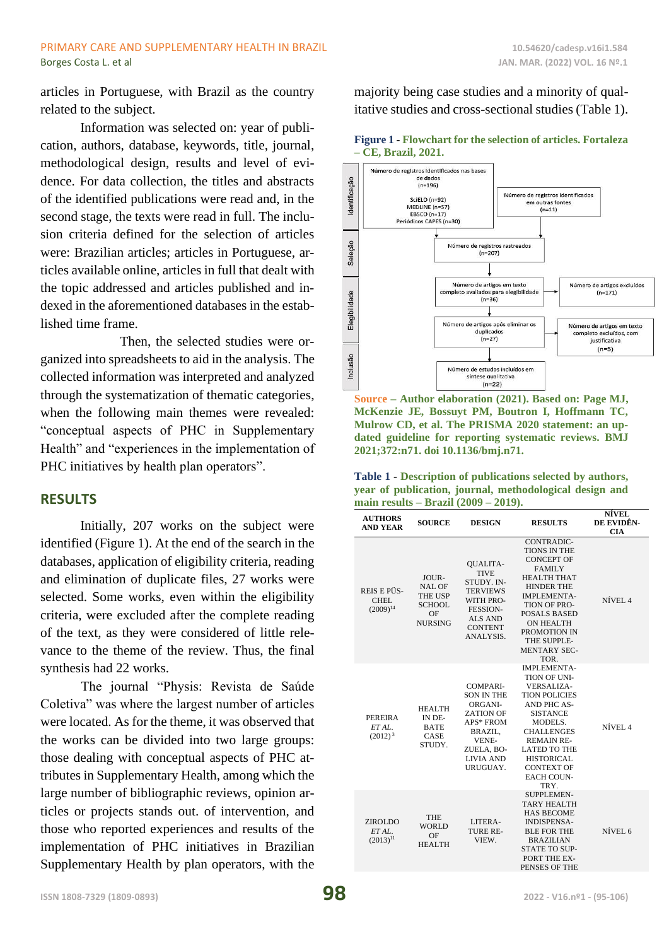articles in Portuguese, with Brazil as the country related to the subject.

Information was selected on: year of publication, authors, database, keywords, title, journal, methodological design, results and level of evidence. For data collection, the titles and abstracts of the identified publications were read and, in the second stage, the texts were read in full. The inclusion criteria defined for the selection of articles were: Brazilian articles; articles in Portuguese, articles available online, articles in full that dealt with the topic addressed and articles published and indexed in the aforementioned databases in the established time frame.

Then, the selected studies were organized into spreadsheets to aid in the analysis. The collected information was interpreted and analyzed through the systematization of thematic categories, when the following main themes were revealed: "conceptual aspects of PHC in Supplementary Health" and "experiences in the implementation of PHC initiatives by health plan operators".

## **RESULTS**

Initially, 207 works on the subject were identified (Figure 1). At the end of the search in the databases, application of eligibility criteria, reading and elimination of duplicate files, 27 works were selected. Some works, even within the eligibility criteria, were excluded after the complete reading of the text, as they were considered of little relevance to the theme of the review. Thus, the final synthesis had 22 works.

The journal "Physis: Revista de Saúde Coletiva" was where the largest number of articles were located. As for the theme, it was observed that the works can be divided into two large groups: those dealing with conceptual aspects of PHC attributes in Supplementary Health, among which the large number of bibliographic reviews, opinion articles or projects stands out. of intervention, and those who reported experiences and results of the implementation of PHC initiatives in Brazilian Supplementary Health by plan operators, with the

majority being case studies and a minority of qualitative studies and cross-sectional studies (Table 1).

**Figure 1 - Flowchart for the selection of articles. Fortaleza** 



**Source – Author elaboration (2021). Based on: Page MJ, McKenzie JE, Bossuyt PM, Boutron I, Hoffmann TC, Mulrow CD, et al. The PRISMA 2020 statement: an updated guideline for reporting systematic reviews. BMJ 2021;372:n71. doi 10.1136/bmj.n71.**

| Table 1 - Description of publications selected by authors, |  |
|------------------------------------------------------------|--|
| year of publication, journal, methodological design and    |  |
| main results $-$ Brazil (2009 $-$ 2019).                   |  |

| <b>AUTHORS</b><br><b>AND YEAR</b>        | <b>SOURCE</b>                                                                     | <b>DESIGN</b>                                                                                                                                    | <b>RESULTS</b>                                                                                                                                                                                                                                                           | NÍVEL<br>DE EVIDÊN-<br><b>CIA</b> |
|------------------------------------------|-----------------------------------------------------------------------------------|--------------------------------------------------------------------------------------------------------------------------------------------------|--------------------------------------------------------------------------------------------------------------------------------------------------------------------------------------------------------------------------------------------------------------------------|-----------------------------------|
| REIS E PÜS-<br>CHEL<br>$(2009)^{14}$     | JOUR-<br><b>NAL OF</b><br><b>THE USP</b><br><b>SCHOOL</b><br>OF<br><b>NURSING</b> | <b>OUALITA-</b><br><b>TIVE</b><br>STUDY. IN-<br><b>TERVIEWS</b><br>WITH PRO-<br><b>FESSION-</b><br><b>ALS AND</b><br><b>CONTENT</b><br>ANALYSIS. | <b>CONTRADIC-</b><br><b>TIONS IN THE</b><br><b>CONCEPT OF</b><br><b>FAMILY</b><br><b>HEALTH THAT</b><br><b>HINDER THE</b><br><b>IMPLEMENTA-</b><br>TION OF PRO-<br><b>POSALS BASED</b><br><b>ON HEALTH</b><br>PROMOTION IN<br>THE SUPPLE-<br><b>MENTARY SEC-</b><br>TOR. | NÍVEL <sub>4</sub>                |
| <b>PEREIRA</b><br>ET AL.<br>$(2012)^3$   | <b>HEALTH</b><br>IN DE-<br><b>BATE</b><br>CASE<br>STUDY.                          | COMPARI-<br><b>SON IN THE</b><br>ORGANI-<br><b>ZATION OF</b><br>APS* FROM<br>BRAZIL,<br>VENE-<br>ZUELA, BO-<br><b>LIVIA AND</b><br>URUGUAY.      | <b>IMPLEMENTA-</b><br>TION OF UNI-<br>VERSALIZA-<br><b>TION POLICIES</b><br>AND PHC AS-<br><b>SISTANCE</b><br>MODELS.<br><b>CHALLENGES</b><br><b>REMAIN RE-</b><br><b>LATED TO THE</b><br><b>HISTORICAL</b><br><b>CONTEXT OF</b><br><b>EACH COUN-</b><br>TRY.            | NÍVEL 4                           |
| <b>ZIROLDO</b><br>ETAL.<br>$(2013)^{11}$ | <b>THE</b><br><b>WORLD</b><br>OF<br><b>HEALTH</b>                                 | LITERA-<br>TURE RE-<br>VIEW.                                                                                                                     | <b>SUPPLEMEN-</b><br><b>TARY HEALTH</b><br><b>HAS BECOME</b><br><b>INDISPENSA-</b><br><b>BLE FOR THE</b><br><b>BRAZILIAN</b><br><b>STATE TO SUP-</b><br>PORT THE EX-<br>PENSES OF THE                                                                                    | NÍVEL 6                           |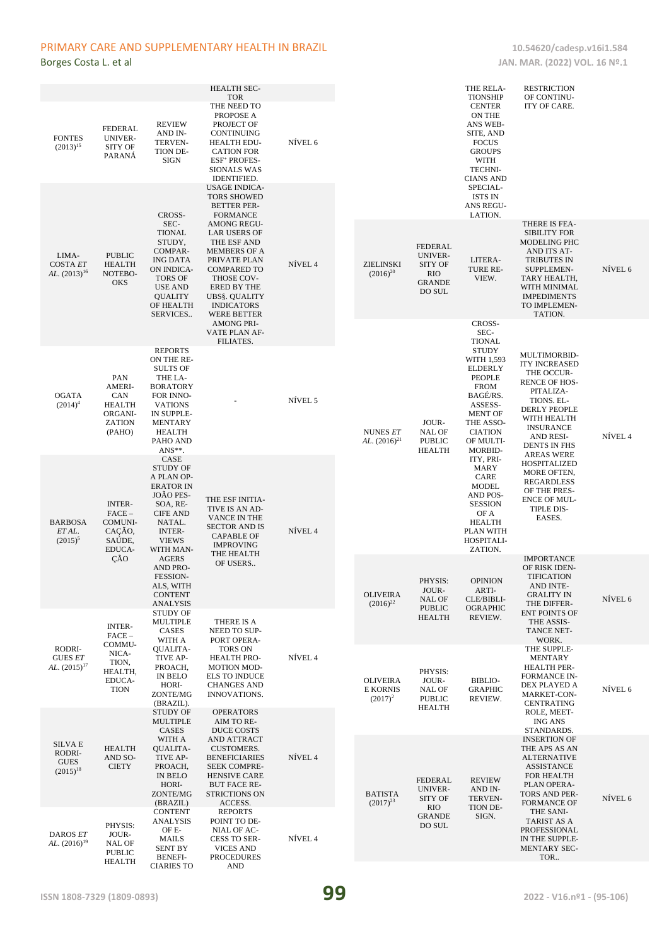### PRIMARY CARE AND SUPPLEMENTARY HEALTH IN BRAZIL 10.54620/cadesp.v16i1.584

| <b>FONTES</b><br>$(2013)^{15}$                    | <b>FEDERAL</b><br>UNIVER-<br><b>SITY OF</b><br>PARANÁ                              | <b>REVIEW</b><br>AND IN-<br>TERVEN-<br>TION DE-<br><b>SIGN</b>                                                                                                                                                                                                                                                                                                                                                                                                                                 | <b>HEALTH SEC-</b><br><b>TOR</b><br>THE NEED TO<br>PROPOSE A<br>PROJECT OF<br>CONTINUING<br><b>HEALTH EDU-</b><br><b>CATION FOR</b><br><b>ESF<sup>+</sup> PROFES-</b><br><b>SIONALS WAS</b><br><b>IDENTIFIED.</b><br>USAGE INDICA-                                                   | NÍVEL 6 |                                                  |                                                                                                                                               | THE RELA-<br><b>TIONSHIP</b><br><b>CENTER</b><br>ON THE<br>ANS WEB-<br>SITE, AND<br><b>FOCUS</b><br><b>GROUPS</b><br>WITH<br>TECHNI-<br><b>CIANS AND</b><br>SPECIAL-                                     | <b>RESTRICTION</b><br>OF CONTINU-<br>ITY OF CARE.                                                                                                                                        |         |
|---------------------------------------------------|------------------------------------------------------------------------------------|------------------------------------------------------------------------------------------------------------------------------------------------------------------------------------------------------------------------------------------------------------------------------------------------------------------------------------------------------------------------------------------------------------------------------------------------------------------------------------------------|--------------------------------------------------------------------------------------------------------------------------------------------------------------------------------------------------------------------------------------------------------------------------------------|---------|--------------------------------------------------|-----------------------------------------------------------------------------------------------------------------------------------------------|----------------------------------------------------------------------------------------------------------------------------------------------------------------------------------------------------------|------------------------------------------------------------------------------------------------------------------------------------------------------------------------------------------|---------|
| LIMA-<br><b>COSTA ET</b><br>AL. $(2013)^{16}$     | <b>PUBLIC</b><br><b>HEALTH</b><br>NOTEBO-<br><b>OKS</b>                            | CROSS-<br>SEC-<br><b>TIONAL</b><br>STUDY,<br>COMPAR-<br><b>ING DATA</b><br>ON INDICA-<br><b>TORS OF</b><br><b>USE AND</b><br><b>QUALITY</b><br>OF HEALTH<br>SERVICES                                                                                                                                                                                                                                                                                                                           | <b>TORS SHOWED</b><br><b>BETTER PER-</b><br><b>FORMANCE</b><br><b>AMONG REGU-</b><br><b>LAR USERS OF</b><br>THE ESF AND<br><b>MEMBERS OF A</b><br>PRIVATE PLAN<br><b>COMPARED TO</b><br>THOSE COV-<br>ERED BY THE<br><b>UBS§. QUALITY</b><br><b>INDICATORS</b><br><b>WERE BETTER</b> | NÍVEL 4 | <b>ZIELINSKI</b><br>$(2016)^{20}$                | FEDERAL<br><b>UNIVER-</b><br><b>SITY OF</b><br><b>RIO</b><br><b>GRANDE</b><br>DO SUL                                                          | <b>ISTS IN</b><br>ANS REGU-<br>LATION.<br>LITERA-<br>TURE RE-<br>VIEW.                                                                                                                                   | THERE IS FEA-<br><b>SIBILITY FOR</b><br>MODELING PHC<br>AND ITS AT-<br><b>TRIBUTES IN</b><br>SUPPLEMEN-<br>TARY HEALTH,<br>WITH MINIMAL<br><b>IMPEDIMENTS</b><br>TO IMPLEMEN-<br>TATION. | NÍVEL 6 |
| <b>OGATA</b><br>$(2014)^4$                        | PAN<br><b>AMERI-</b><br>CAN<br><b>HEALTH</b><br>ORGANI-<br><b>ZATION</b><br>(PAHO) | <b>REPORTS</b><br>ON THE RE-<br><b>SULTS OF</b><br>THE LA-<br><b>BORATORY</b><br>FOR INNO-<br><b>VATIONS</b><br>IN SUPPLE-<br><b>MENTARY</b><br><b>HEALTH</b><br>PAHO AND                                                                                                                                                                                                                                                                                                                      | <b>AMONG PRI-</b><br>VATE PLAN AF-<br>FILIATES.                                                                                                                                                                                                                                      | NÍVEL 5 | <b>NUNES ET</b><br>AL. $(2016)^{21}$             | JOUR-<br><b>NAL OF</b><br><b>PUBLIC</b><br><b>HEALTH</b>                                                                                      | CROSS-<br>SEC-<br><b>TIONAL</b><br><b>STUDY</b><br>WITH 1,593<br><b>ELDERLY</b><br>PEOPLE<br><b>FROM</b><br>BAGÉ/RS.<br>ASSESS-<br><b>MENT OF</b><br>THE ASSO-<br><b>CIATION</b><br>OF MULTI-<br>MORBID- | MULTIMORBID-<br><b>ITY INCREASED</b><br>THE OCCUR-<br><b>RENCE OF HOS-</b><br>PITALIZA-<br>TIONS. EL-<br>DERLY PEOPLE<br>WITH HEALTH<br><b>INSURANCE</b><br>AND RESI-<br>DENTS IN FHS    | NÍVEL 4 |
| <b>BARBOSA</b><br>ET AL.<br>$(2015)^5$            | <b>INTER-</b><br>$FACE-$<br><b>COMUNI-</b><br>CAÇÃO,<br>SAÚDE,<br>EDUCA-<br>ÇÃO    | ANS**.<br>CASE<br><b>STUDY OF</b><br>A PLAN OP-<br><b>ERATOR IN</b><br>JOÃO PES-<br>THE ESF INITIA-<br>SOA, RE-<br>TIVE IS AN AD-<br><b>CIFE AND</b><br>VANCE IN THE<br>NATAL.<br><b>SECTOR AND IS</b><br><b>INTER-</b><br><b>CAPABLE OF</b><br><b>VIEWS</b><br><b>IMPROVING</b><br>WITH MAN-<br>THE HEALTH<br><b>AGERS</b><br>OF USERS<br><b>AND PRO-</b><br>FESSION-<br>ALS, WITH<br><b>CONTENT</b><br>ANALYSIS<br><b>STUDY OF</b><br><b>MULTIPLE</b><br>THERE IS A<br>CASES<br>NEED TO SUP- | NÍVEL 4                                                                                                                                                                                                                                                                              |         |                                                  | ITY, PRI-<br><b>MARY</b><br>CARE<br><b>MODEL</b><br>AND POS-<br><b>SESSION</b><br>OF A<br><b>HEALTH</b><br>PLAN WITH<br>HOSPITALI-<br>ZATION. | <b>AREAS WERE</b><br>HOSPITALIZED<br>MORE OFTEN,<br><b>REGARDLESS</b><br>OF THE PRES-<br><b>ENCE OF MUL-</b><br>TIPLE DIS-<br>EASES.                                                                     |                                                                                                                                                                                          |         |
|                                                   | <b>INTER-</b><br>$FACE-$                                                           |                                                                                                                                                                                                                                                                                                                                                                                                                                                                                                |                                                                                                                                                                                                                                                                                      |         | <b>OLIVEIRA</b><br>$(2016)^{22}$                 | PHYSIS:<br>JOUR-<br>NAL OF<br><b>PUBLIC</b><br><b>HEALTH</b>                                                                                  | <b>OPINION</b><br>ARTI-<br>CLE/BIBLI-<br><b>OGRAPHIC</b><br>REVIEW.                                                                                                                                      | <b>IMPORTANCE</b><br>OF RISK IDEN-<br><b>TIFICATION</b><br>AND INTE-<br><b>GRALITY IN</b><br>THE DIFFER-<br><b>ENT POINTS OF</b><br>THE ASSIS-<br>TANCE NET-                             | NÍVEL 6 |
| RODRI-<br><b>GUES ET</b><br>AL. $(2015)^{17}$     | COMMU-<br>NICA-<br>TION,<br>HEALTH,<br>EDUCA-<br><b>TION</b>                       | WITH A<br>QUALITA-<br>TIVE AP-<br>PROACH,<br>IN BELO<br>HORI-<br>ZONTE/MG<br>(BRAZIL).<br><b>STUDY OF</b>                                                                                                                                                                                                                                                                                                                                                                                      | PORT OPERA-<br>TORS ON<br>HEALTH PRO-<br><b>MOTION MOD-</b><br><b>ELS TO INDUCE</b><br><b>CHANGES AND</b><br>INNOVATIONS.<br><b>OPERATORS</b>                                                                                                                                        | NÍVEL 4 | <b>OLIVEIRA</b><br><b>E KORNIS</b><br>$(2017)^2$ | PHYSIS:<br>JOUR-<br>NAL OF<br><b>PUBLIC</b><br><b>HEALTH</b>                                                                                  | <b>BIBLIO-</b><br><b>GRAPHIC</b><br>REVIEW.                                                                                                                                                              | WORK.<br>THE SUPPLE-<br><b>MENTARY</b><br><b>HEALTH PER-</b><br><b>FORMANCE IN-</b><br>DEX PLAYED A<br>MARKET-CON-<br><b>CENTRATING</b><br>ROLE, MEET-                                   | NÍVEL 6 |
| SILVA E<br>RODRI-<br><b>GUES</b><br>$(2015)^{18}$ | <b>HEALTH</b><br>AND SO-<br><b>CIETY</b>                                           | <b>MULTIPLE</b><br>CASES<br>WITH A<br>QUALITA-<br>TIVE AP-<br>PROACH,<br>IN BELO<br>HORI-<br>ZONTE/MG                                                                                                                                                                                                                                                                                                                                                                                          | AIM TO RE-<br>DUCE COSTS<br>AND ATTRACT<br><b>CUSTOMERS.</b><br><b>BENEFICIARIES</b><br><b>SEEK COMPRE-</b><br><b>HENSIVE CARE</b><br><b>BUT FACE RE-</b><br>STRICTIONS ON                                                                                                           | NÍVEL 4 | <b>BATISTA</b>                                   | FEDERAL<br><b>UNIVER-</b><br><b>SITY OF</b>                                                                                                   | <b>REVIEW</b><br>AND IN-<br>TERVEN-                                                                                                                                                                      | <b>ING ANS</b><br>STANDARDS.<br><b>INSERTION OF</b><br>THE APS AS AN<br><b>ALTERNATIVE</b><br><b>ASSISTANCE</b><br>FOR HEALTH<br>PLAN OPERA-<br>TORS AND PER-                            | NÍVEL 6 |
| DAROS ET<br>AL. $(2016)^{19}$                     | PHYSIS:<br>JOUR-<br>NAL OF<br><b>PUBLIC</b><br><b>HEALTH</b>                       | (BRAZIL)<br><b>CONTENT</b><br><b>ANALYSIS</b><br>OF E-<br>MAILS<br><b>SENT BY</b><br>BENEFI-<br><b>CIARIES TO</b>                                                                                                                                                                                                                                                                                                                                                                              | ACCESS.<br><b>REPORTS</b><br>POINT TO DE-<br>NIAL OF AC-<br>CESS TO SER-<br><b>VICES AND</b><br><b>PROCEDURES</b><br><b>AND</b>                                                                                                                                                      | NÍVEL 4 | $(2017)^{23}$                                    | <b>RIO</b><br><b>GRANDE</b><br>DO SUL                                                                                                         | TION DE-<br>SIGN.                                                                                                                                                                                        | <b>FORMANCE OF</b><br>THE SANI-<br>TARIST AS A<br>PROFESSIONAL<br>IN THE SUPPLE-<br>MENTARY SEC-<br>TOR                                                                                  |         |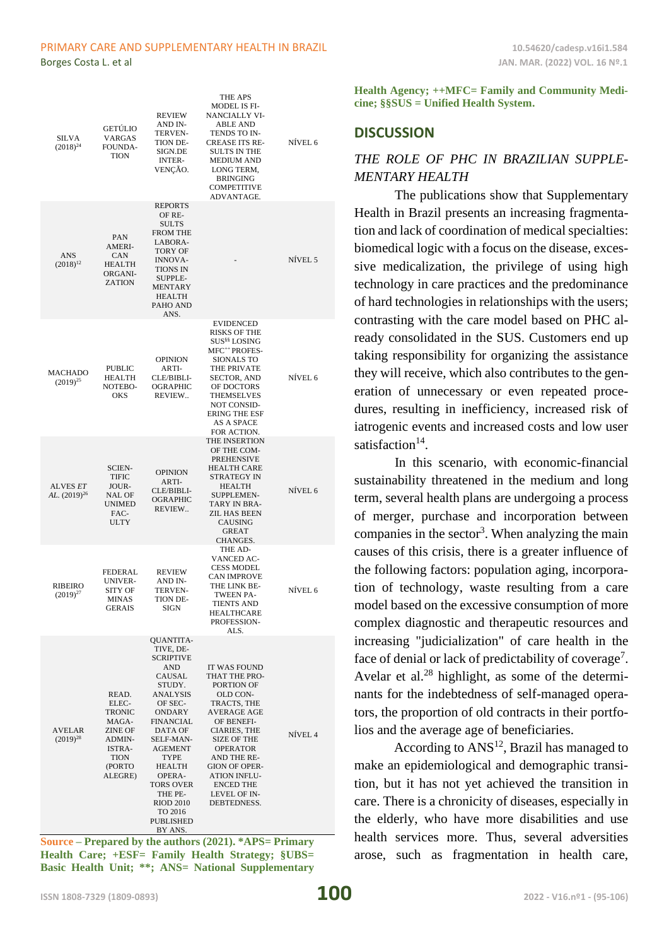#### PRIMARY CARE AND SUPPLEMENTARY HEALTH IN BRAZIL **10.54620/cadesp.v16i1.584**

| SILVA<br>$(2018)^{24}$          | <b>GETÚLIO</b><br>VARGAS<br>FOUNDA-<br>TION                                                          | REVIEW<br>AND IN-<br>TERVEN-<br>TION DE-<br>SIGN.DE<br><b>INTER-</b><br>VENÇAO.                                                                                                                                                                                          | THE APS<br><b>MODEL IS FI-</b><br>NANCIALLY VI-<br><b>ABLE AND</b><br>TENDS TO IN-<br>CREASE ITS RE-<br>SULTS IN THE<br><b>MEDIUM AND</b><br>LONG TERM,<br>BRINGING<br><b>COMPETITIVE</b><br>ADVANTAGE.                                                                                     | NÍVEL 6 |
|---------------------------------|------------------------------------------------------------------------------------------------------|--------------------------------------------------------------------------------------------------------------------------------------------------------------------------------------------------------------------------------------------------------------------------|---------------------------------------------------------------------------------------------------------------------------------------------------------------------------------------------------------------------------------------------------------------------------------------------|---------|
| ANS<br>$(2018)^{12}$            | PAN<br><b>AMERI-</b><br>CAN<br><b>HEALTH</b><br>ORGANI-<br><b>ZATION</b>                             | <b>REPORTS</b><br>OF RE-<br><b>SULTS</b><br><b>FROM THE</b><br>LABORA-<br>TORY OF<br><b>INNOVA-</b><br>TIONS IN<br>SUPPLE-<br><b>MENTARY</b><br><b>HEALTH</b><br>PAHO AND<br>ANS.                                                                                        |                                                                                                                                                                                                                                                                                             | NÍVEL 5 |
| <b>MACHADO</b><br>$(2019)^{25}$ | PUBLIC<br>HEALTH<br>NOTEBO-<br>OKS                                                                   | <b>OPINION</b><br>ARTI-<br>CLE/BIBLI-<br><b>OGRAPHIC</b><br>REVIEW                                                                                                                                                                                                       | <b>EVIDENCED</b><br><b>RISKS OF THE</b><br>SUS <sup>§§</sup> LOSING<br>MFC <sup>++</sup> PROFES-<br><b>SIONALS TO</b><br>THE PRIVATE<br><b>SECTOR, AND</b><br>OF DOCTORS<br>THEMSELVES<br>NOT CONSID-<br><b>ERING THE ESF</b><br>AS A SPACE<br>FOR ACTION.                                  | NÍVEL 6 |
| ALVES ET<br>AL. $(2019)^{26}$   | SCIEN-<br>TIFIC<br>JOUR-<br>NAL OF<br>UNIMED<br>FAC-<br><b>ULTY</b>                                  | <b>OPINION</b><br>ARTI-<br>CLE/BIBLI-<br>OGRAPHIC<br>REVIEW                                                                                                                                                                                                              | THE INSERTION<br>OF THE COM-<br><b>PREHENSIVE</b><br>HEALTH CARE<br>STRATEGY IN<br><b>HEALTH</b><br><b>SUPPLEMEN-</b><br>TARY IN BRA-<br>ZIL HAS BEEN<br>CAUSING<br><b>GREAT</b><br>CHANGES.                                                                                                | NÍVEL 6 |
| RIBEIRO<br>$(2019)^{27}$        | FEDERAL<br>UNIVER-<br><b>SITY OF</b><br>MINAS<br><b>GERAIS</b>                                       | <b>REVIEW</b><br>AND IN-<br><b>TERVEN-</b><br>TION DE-<br><b>SIGN</b>                                                                                                                                                                                                    | THE AD-<br><b>VANCED AC-</b><br>CESS MODEL<br><b>CAN IMPROVE</b><br>THE LINK BE-<br>TWEEN PA-<br><b>TIENTS AND</b><br><b>HEALTHCARE</b><br>PROFESSION-<br>ALS.                                                                                                                              | NÍVEL 6 |
| <b>AVELAR</b><br>$(2019)^{28}$  | READ.<br>ELEC-<br>TRONIC<br>MAGA-<br><b>ZINE OF</b><br>ADMIN-<br>ISTRA-<br>TION<br>(PORTO<br>ALEGRE) | QUANTITA-<br>TIVE, DE-<br>SCRIPTIVE<br>AND<br>CAUSAL<br>STUDY.<br>ANALYSIS<br>OF SEC-<br><b>ONDARY</b><br>FINANCIAL<br>DATA OF<br>SELF-MAN-<br><b>AGEMENT</b><br>TYPE<br>HEALTH<br>OPERA-<br>TORS OVER<br>THE PE-<br><b>RIOD 2010</b><br>TO 2016<br>PUBLISHED<br>BY ANS. | <b>IT WAS FOUND</b><br>THAT THE PRO-<br>PORTION OF<br>OLD CON-<br>TRACTS, THE<br><b>AVERAGE AGE</b><br>OF BENEFI-<br><b>CIARIES, THE</b><br><b>SIZE OF THE</b><br><b>OPERATOR</b><br>AND THE RE-<br><b>GION OF OPER-</b><br><b>ATION INFLU-</b><br>ENCED THE<br>LEVEL OF IN-<br>DEBTEDNESS. | NÍVEL 4 |

**Source – Prepared by the authors (2021). \*APS= Primary Health Care; +ESF= Family Health Strategy; §UBS= Basic Health Unit; \*\*; ANS= National Supplementary** 

**Health Agency; ++MFC= Family and Community Medicine; §§SUS = Unified Health System.**

### **DISCUSSION**

# *THE ROLE OF PHC IN BRAZILIAN SUPPLE-MENTARY HEALTH*

The publications show that Supplementary Health in Brazil presents an increasing fragmentation and lack of coordination of medical specialties: biomedical logic with a focus on the disease, excessive medicalization, the privilege of using high technology in care practices and the predominance of hard technologies in relationships with the users; contrasting with the care model based on PHC already consolidated in the SUS. Customers end up taking responsibility for organizing the assistance they will receive, which also contributes to the generation of unnecessary or even repeated procedures, resulting in inefficiency, increased risk of iatrogenic events and increased costs and low user satisfaction<sup>14</sup>.

In this scenario, with economic-financial sustainability threatened in the medium and long term, several health plans are undergoing a process of merger, purchase and incorporation between companies in the sector<sup>3</sup>. When analyzing the main causes of this crisis, there is a greater influence of the following factors: population aging, incorporation of technology, waste resulting from a care model based on the excessive consumption of more complex diagnostic and therapeutic resources and increasing "judicialization" of care health in the face of denial or lack of predictability of coverage<sup>7</sup>. Avelar et al. $^{28}$  highlight, as some of the determinants for the indebtedness of self-managed operators, the proportion of old contracts in their portfolios and the average age of beneficiaries.

According to  $ANS<sup>12</sup>$ , Brazil has managed to make an epidemiological and demographic transition, but it has not yet achieved the transition in care. There is a chronicity of diseases, especially in the elderly, who have more disabilities and use health services more. Thus, several adversities arose, such as fragmentation in health care,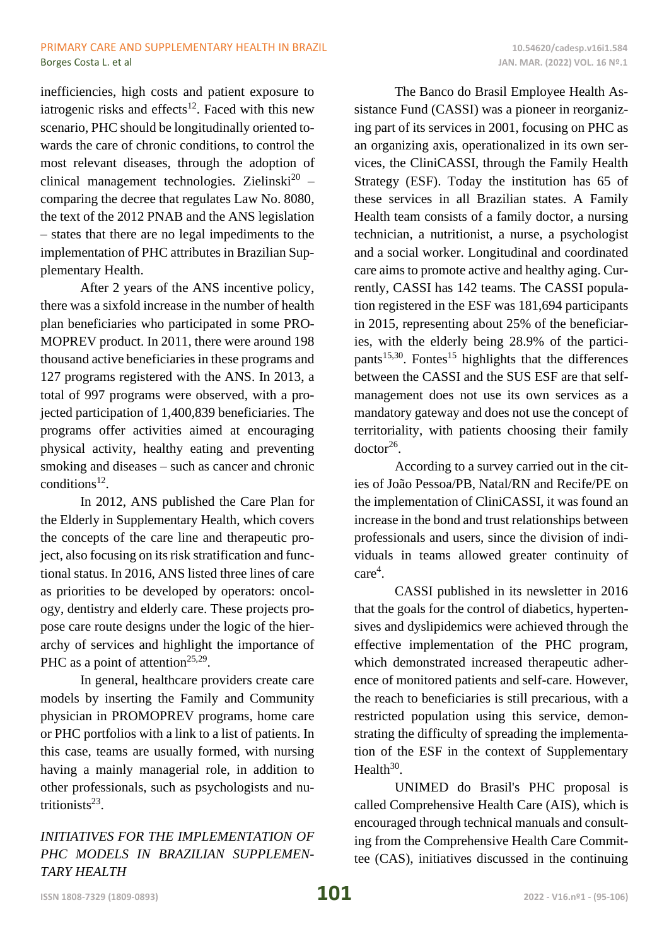inefficiencies, high costs and patient exposure to iatrogenic risks and effects<sup>12</sup>. Faced with this new scenario, PHC should be longitudinally oriented towards the care of chronic conditions, to control the most relevant diseases, through the adoption of clinical management technologies. Zielinski<sup>20</sup> comparing the decree that regulates Law No. 8080, the text of the 2012 PNAB and the ANS legislation – states that there are no legal impediments to the implementation of PHC attributes in Brazilian Supplementary Health.

After 2 years of the ANS incentive policy, there was a sixfold increase in the number of health plan beneficiaries who participated in some PRO-MOPREV product. In 2011, there were around 198 thousand active beneficiaries in these programs and 127 programs registered with the ANS. In 2013, a total of 997 programs were observed, with a projected participation of 1,400,839 beneficiaries. The programs offer activities aimed at encouraging physical activity, healthy eating and preventing smoking and diseases – such as cancer and chronic conditions<sup>12</sup>.

In 2012, ANS published the Care Plan for the Elderly in Supplementary Health, which covers the concepts of the care line and therapeutic project, also focusing on its risk stratification and functional status. In 2016, ANS listed three lines of care as priorities to be developed by operators: oncology, dentistry and elderly care. These projects propose care route designs under the logic of the hierarchy of services and highlight the importance of PHC as a point of attention<sup>25,29</sup>.

In general, healthcare providers create care models by inserting the Family and Community physician in PROMOPREV programs, home care or PHC portfolios with a link to a list of patients. In this case, teams are usually formed, with nursing having a mainly managerial role, in addition to other professionals, such as psychologists and nutritionists $^{23}$ .

*INITIATIVES FOR THE IMPLEMENTATION OF PHC MODELS IN BRAZILIAN SUPPLEMEN-TARY HEALTH*

The Banco do Brasil Employee Health Assistance Fund (CASSI) was a pioneer in reorganizing part of its services in 2001, focusing on PHC as an organizing axis, operationalized in its own services, the CliniCASSI, through the Family Health Strategy (ESF). Today the institution has 65 of these services in all Brazilian states. A Family Health team consists of a family doctor, a nursing technician, a nutritionist, a nurse, a psychologist and a social worker. Longitudinal and coordinated care aims to promote active and healthy aging. Currently, CASSI has 142 teams. The CASSI population registered in the ESF was 181,694 participants in 2015, representing about 25% of the beneficiaries, with the elderly being 28.9% of the participants<sup>15,30</sup>. Fontes<sup>15</sup> highlights that the differences between the CASSI and the SUS ESF are that selfmanagement does not use its own services as a mandatory gateway and does not use the concept of territoriality, with patients choosing their family  $doctor<sup>26</sup>$ .

According to a survey carried out in the cities of João Pessoa/PB, Natal/RN and Recife/PE on the implementation of CliniCASSI, it was found an increase in the bond and trust relationships between professionals and users, since the division of individuals in teams allowed greater continuity of care<sup>4</sup>.

CASSI published in its newsletter in 2016 that the goals for the control of diabetics, hypertensives and dyslipidemics were achieved through the effective implementation of the PHC program, which demonstrated increased therapeutic adherence of monitored patients and self-care. However, the reach to beneficiaries is still precarious, with a restricted population using this service, demonstrating the difficulty of spreading the implementation of the ESF in the context of Supplementary Health $30$ .

UNIMED do Brasil's PHC proposal is called Comprehensive Health Care (AIS), which is encouraged through technical manuals and consulting from the Comprehensive Health Care Committee (CAS), initiatives discussed in the continuing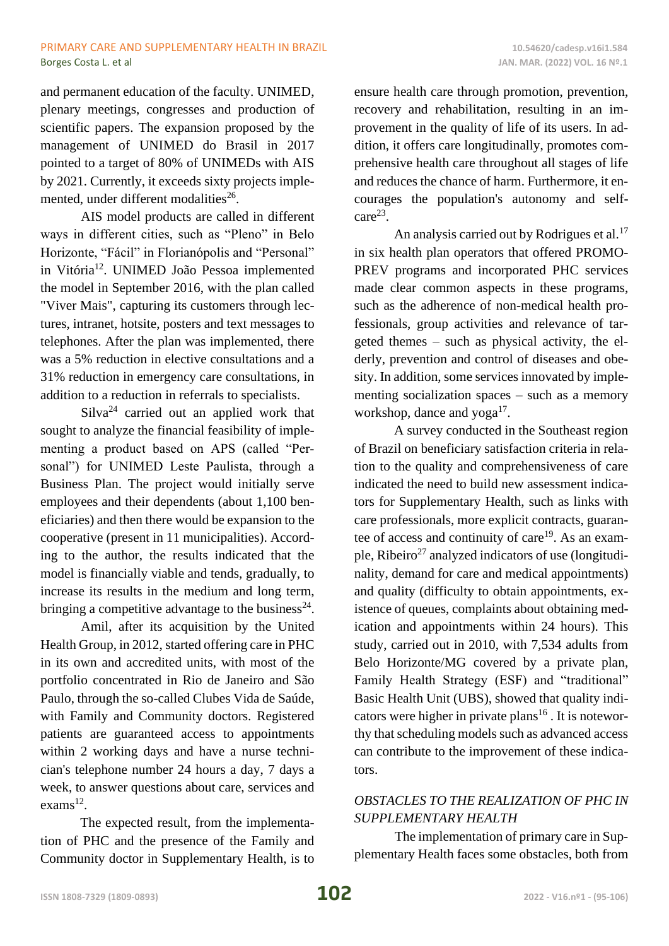and permanent education of the faculty. UNIMED, plenary meetings, congresses and production of scientific papers. The expansion proposed by the management of UNIMED do Brasil in 2017 pointed to a target of 80% of UNIMEDs with AIS by 2021. Currently, it exceeds sixty projects implemented, under different modalities<sup>26</sup>.

AIS model products are called in different ways in different cities, such as "Pleno" in Belo Horizonte, "Fácil" in Florianópolis and "Personal" in Vitória<sup>12</sup>. UNIMED João Pessoa implemented the model in September 2016, with the plan called "Viver Mais", capturing its customers through lectures, intranet, hotsite, posters and text messages to telephones. After the plan was implemented, there was a 5% reduction in elective consultations and a 31% reduction in emergency care consultations, in addition to a reduction in referrals to specialists.

 $Silva<sup>24</sup>$  carried out an applied work that sought to analyze the financial feasibility of implementing a product based on APS (called "Personal") for UNIMED Leste Paulista, through a Business Plan. The project would initially serve employees and their dependents (about 1,100 beneficiaries) and then there would be expansion to the cooperative (present in 11 municipalities). According to the author, the results indicated that the model is financially viable and tends, gradually, to increase its results in the medium and long term, bringing a competitive advantage to the business<sup>24</sup>.

Amil, after its acquisition by the United Health Group, in 2012, started offering care in PHC in its own and accredited units, with most of the portfolio concentrated in Rio de Janeiro and São Paulo, through the so-called Clubes Vida de Saúde, with Family and Community doctors. Registered patients are guaranteed access to appointments within 2 working days and have a nurse technician's telephone number 24 hours a day, 7 days a week, to answer questions about care, services and  $exams<sup>12</sup>$ .

The expected result, from the implementation of PHC and the presence of the Family and Community doctor in Supplementary Health, is to ensure health care through promotion, prevention, recovery and rehabilitation, resulting in an improvement in the quality of life of its users. In addition, it offers care longitudinally, promotes comprehensive health care throughout all stages of life and reduces the chance of harm. Furthermore, it encourages the population's autonomy and self $care<sup>23</sup>$ .

An analysis carried out by Rodrigues et al.<sup>17</sup> in six health plan operators that offered PROMO-PREV programs and incorporated PHC services made clear common aspects in these programs, such as the adherence of non-medical health professionals, group activities and relevance of targeted themes – such as physical activity, the elderly, prevention and control of diseases and obesity. In addition, some services innovated by implementing socialization spaces – such as a memory workshop, dance and  $yoga^{17}$ .

A survey conducted in the Southeast region of Brazil on beneficiary satisfaction criteria in relation to the quality and comprehensiveness of care indicated the need to build new assessment indicators for Supplementary Health, such as links with care professionals, more explicit contracts, guarantee of access and continuity of care<sup>19</sup>. As an example, Ribeiro<sup>27</sup> analyzed indicators of use (longitudinality, demand for care and medical appointments) and quality (difficulty to obtain appointments, existence of queues, complaints about obtaining medication and appointments within 24 hours). This study, carried out in 2010, with 7,534 adults from Belo Horizonte/MG covered by a private plan, Family Health Strategy (ESF) and "traditional" Basic Health Unit (UBS), showed that quality indicators were higher in private plans<sup>16</sup>. It is noteworthy that scheduling models such as advanced access can contribute to the improvement of these indicators.

# *OBSTACLES TO THE REALIZATION OF PHC IN SUPPLEMENTARY HEALTH*

The implementation of primary care in Supplementary Health faces some obstacles, both from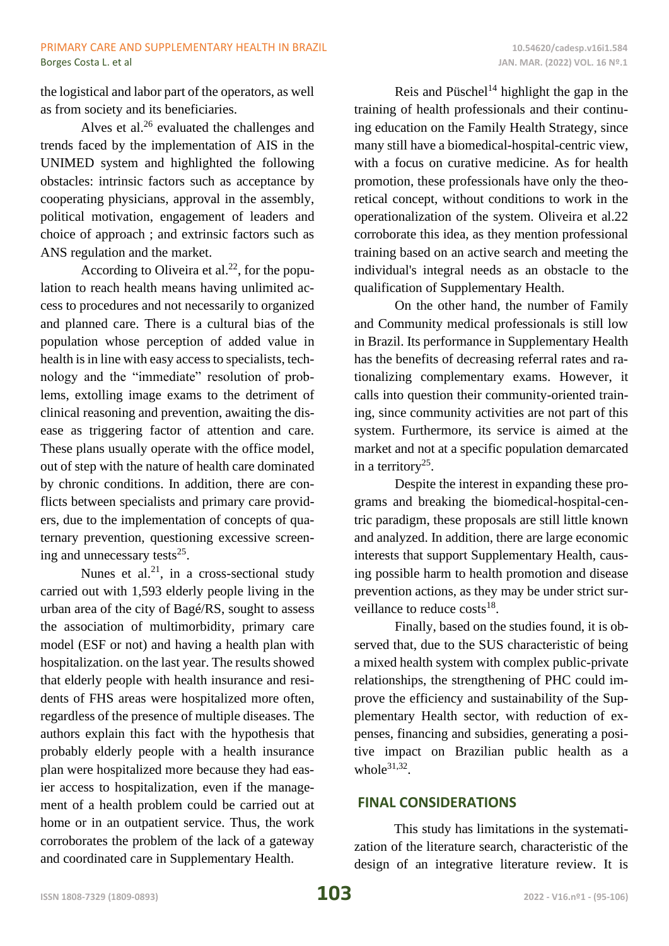the logistical and labor part of the operators, as well as from society and its beneficiaries.

Alves et al.<sup>26</sup> evaluated the challenges and trends faced by the implementation of AIS in the UNIMED system and highlighted the following obstacles: intrinsic factors such as acceptance by cooperating physicians, approval in the assembly, political motivation, engagement of leaders and choice of approach ; and extrinsic factors such as ANS regulation and the market.

According to Oliveira et al.<sup>22</sup>, for the population to reach health means having unlimited access to procedures and not necessarily to organized and planned care. There is a cultural bias of the population whose perception of added value in health is in line with easy access to specialists, technology and the "immediate" resolution of problems, extolling image exams to the detriment of clinical reasoning and prevention, awaiting the disease as triggering factor of attention and care. These plans usually operate with the office model, out of step with the nature of health care dominated by chronic conditions. In addition, there are conflicts between specialists and primary care providers, due to the implementation of concepts of quaternary prevention, questioning excessive screening and unnecessary tests<sup>25</sup>.

Nunes et al.<sup>21</sup>, in a cross-sectional study carried out with 1,593 elderly people living in the urban area of the city of Bagé/RS, sought to assess the association of multimorbidity, primary care model (ESF or not) and having a health plan with hospitalization. on the last year. The results showed that elderly people with health insurance and residents of FHS areas were hospitalized more often, regardless of the presence of multiple diseases. The authors explain this fact with the hypothesis that probably elderly people with a health insurance plan were hospitalized more because they had easier access to hospitalization, even if the management of a health problem could be carried out at home or in an outpatient service. Thus, the work corroborates the problem of the lack of a gateway and coordinated care in Supplementary Health.

Reis and Püschel<sup>14</sup> highlight the gap in the training of health professionals and their continuing education on the Family Health Strategy, since many still have a biomedical-hospital-centric view, with a focus on curative medicine. As for health promotion, these professionals have only the theoretical concept, without conditions to work in the operationalization of the system. Oliveira et al.22 corroborate this idea, as they mention professional training based on an active search and meeting the individual's integral needs as an obstacle to the qualification of Supplementary Health.

On the other hand, the number of Family and Community medical professionals is still low in Brazil. Its performance in Supplementary Health has the benefits of decreasing referral rates and rationalizing complementary exams. However, it calls into question their community-oriented training, since community activities are not part of this system. Furthermore, its service is aimed at the market and not at a specific population demarcated in a territory<sup>25</sup>.

Despite the interest in expanding these programs and breaking the biomedical-hospital-centric paradigm, these proposals are still little known and analyzed. In addition, there are large economic interests that support Supplementary Health, causing possible harm to health promotion and disease prevention actions, as they may be under strict surveillance to reduce  $costs^{18}$ .

Finally, based on the studies found, it is observed that, due to the SUS characteristic of being a mixed health system with complex public-private relationships, the strengthening of PHC could improve the efficiency and sustainability of the Supplementary Health sector, with reduction of expenses, financing and subsidies, generating a positive impact on Brazilian public health as a whole $31,32$ .

# **FINAL CONSIDERATIONS**

This study has limitations in the systematization of the literature search, characteristic of the design of an integrative literature review. It is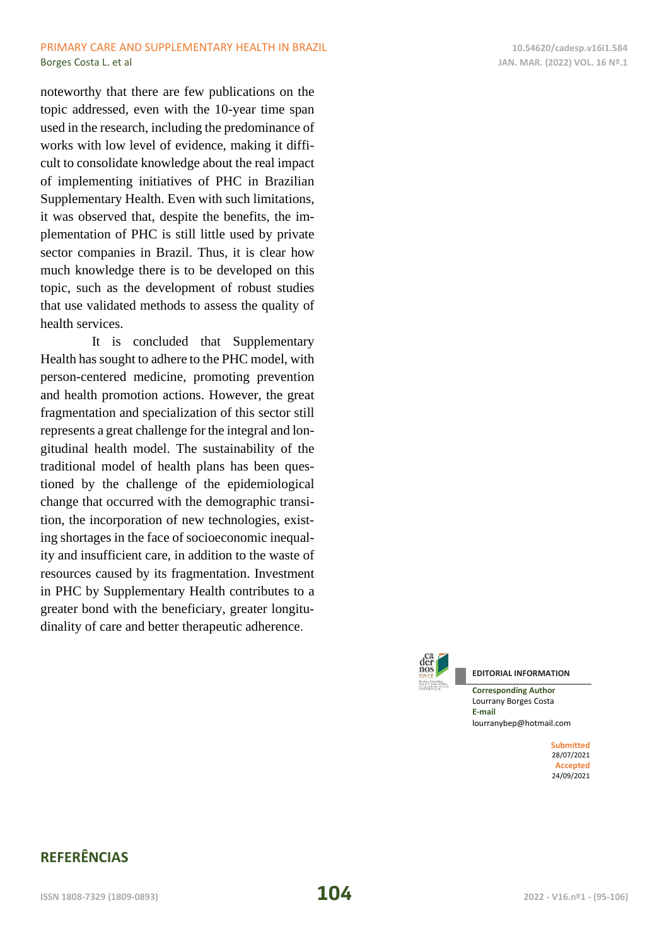### PRIMARY CARE AND SUPPLEMENTARY HEALTH IN BRAZIL **10.54620/cadesp.v16i1.584 Borges Costa L. et al JAN. MAR. (2022) VOL. 16 Nº.1**

noteworthy that there are few publications on the topic addressed, even with the 10-year time span used in the research, including the predominance of works with low level of evidence, making it difficult to consolidate knowledge about the real impact of implementing initiatives of PHC in Brazilian Supplementary Health. Even with such limitations, it was observed that, despite the benefits, the implementation of PHC is still little used by private sector companies in Brazil. Thus, it is clear how much knowledge there is to be developed on this topic, such as the development of robust studies that use validated methods to assess the quality of health services.

It is concluded that Supplementary Health has sought to adhere to the PHC model, with person-centered medicine, promoting prevention and health promotion actions. However, the great fragmentation and specialization of this sector still represents a great challenge for the integral and longitudinal health model. The sustainability of the traditional model of health plans has been questioned by the challenge of the epidemiological change that occurred with the demographic transition, the incorporation of new technologies, existing shortages in the face of socioeconomic inequality and insufficient care, in addition to the waste of resources caused by its fragmentation. Investment in PHC by Supplementary Health contributes to a greater bond with the beneficiary, greater longitudinality of care and better therapeutic adherence.



Lourrany Borges Costa **E-mail** lourranybep@hotmail.com

> **Submitted** 28/07/2021 **Accepted** 24/09/2021

# **REFERÊNCIAS**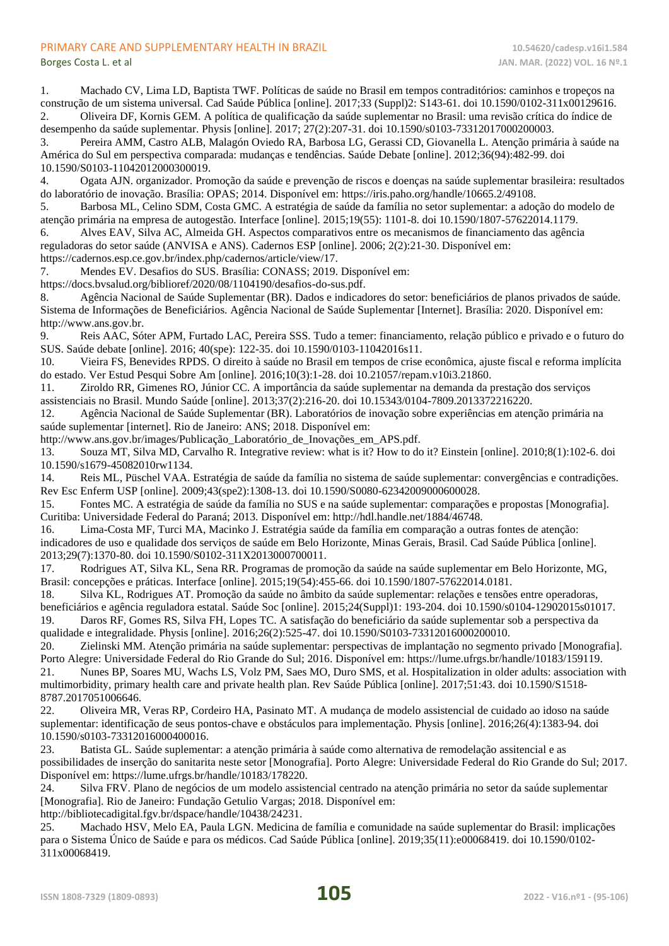#### PRIMARY CARE AND SUPPLEMENTARY HEALTH IN BRAZIL **10.54620/cadesp.v16i1.584**

1. Machado CV, Lima LD, Baptista TWF. Políticas de saúde no Brasil em tempos contraditórios: caminhos e tropeços na construção de um sistema universal. Cad Saúde Pública [online]. 2017;33 (Suppl)2: S143-61. doi 10.1590/0102-311x00129616. 2. Oliveira DF, Kornis GEM. A política de qualificação da saúde suplementar no Brasil: uma revisão crítica do índice de desempenho da saúde suplementar. Physis [online]. 2017; 27(2):207-31. doi 10.1590/s0103-73312017000200003.

3. Pereira AMM, Castro ALB, Malagón Oviedo RA, Barbosa LG, Gerassi CD, Giovanella L. Atenção primária à saúde na América do Sul em perspectiva comparada: mudanças e tendências. Saúde Debate [online]. 2012;36(94):482-99. doi 10.1590/S0103-11042012000300019.

4. Ogata AJN. organizador. Promoção da saúde e prevenção de riscos e doenças na saúde suplementar brasileira: resultados do laboratório de inovação. Brasília: OPAS; 2014. Disponível em: https://iris.paho.org/handle/10665.2/49108.

5. Barbosa ML, Celino SDM, Costa GMC. A estratégia de saúde da família no setor suplementar: a adoção do modelo de atenção primária na empresa de autogestão. Interface [online]. 2015;19(55): 1101-8. doi 10.1590/1807-57622014.1179.

6. Alves EAV, Silva AC, Almeida GH. Aspectos comparativos entre os mecanismos de financiamento das agência reguladoras do setor saúde (ANVISA e ANS). Cadernos ESP [online]. 2006; 2(2):21-30. Disponível em: https://cadernos.esp.ce.gov.br/index.php/cadernos/article/view/17.

7. Mendes EV. Desafios do SUS. Brasília: CONASS; 2019. Disponível em:

https://docs.bvsalud.org/biblioref/2020/08/1104190/desafios-do-sus.pdf.

8. Agência Nacional de Saúde Suplementar (BR). Dados e indicadores do setor: beneficiários de planos privados de saúde. Sistema de Informações de Beneficiários. Agência Nacional de Saúde Suplementar [Internet]. Brasília: 2020. Disponível em: http://www.ans.gov.br.

9. Reis AAC, Sóter APM, Furtado LAC, Pereira SSS. Tudo a temer: financiamento, relação público e privado e o futuro do SUS. Saúde debate [online]. 2016; 40(spe): 122-35. doi 10.1590/0103-11042016s11.

10. Vieira FS, Benevides RPDS. O direito à saúde no Brasil em tempos de crise econômica, ajuste fiscal e reforma implícita do estado. Ver Estud Pesqui Sobre Am [online]. 2016;10(3):1-28. doi 10.21057/repam.v10i3.21860.

11. Ziroldo RR, Gimenes RO, Júnior CC. A importância da saúde suplementar na demanda da prestação dos serviços assistenciais no Brasil. Mundo Saúde [online]. 2013;37(2):216-20. doi 10.15343/0104-7809.2013372216220.

12. Agência Nacional de Saúde Suplementar (BR). Laboratórios de inovação sobre experiências em atenção primária na saúde suplementar [internet]. Rio de Janeiro: ANS; 2018. Disponível em:

http://www.ans.gov.br/images/Publicação\_Laboratório\_de\_Inovações\_em\_APS.pdf.

13. Souza MT, Silva MD, Carvalho R. Integrative review: what is it? How to do it? Einstein [online]. 2010;8(1):102-6. doi 10.1590/s1679-45082010rw1134.

14. Reis ML, Püschel VAA. Estratégia de saúde da família no sistema de saúde suplementar: convergências e contradições. Rev Esc Enferm USP [online]. 2009;43(spe2):1308-13. doi 10.1590/S0080-62342009000600028.

15. Fontes MC. A estratégia de saúde da família no SUS e na saúde suplementar: comparações e propostas [Monografia]. Curitiba: Universidade Federal do Paraná; 2013. Disponível em: http://hdl.handle.net/1884/46748.

16. Lima-Costa MF, Turci MA, Macinko J. Estratégia saúde da família em comparação a outras fontes de atenção: indicadores de uso e qualidade dos serviços de saúde em Belo Horizonte, Minas Gerais, Brasil. Cad Saúde Pública [online]. 2013;29(7):1370-80. doi 10.1590/S0102-311X2013000700011.

17. Rodrigues AT, Silva KL, Sena RR. Programas de promoção da saúde na saúde suplementar em Belo Horizonte, MG, Brasil: concepções e práticas. Interface [online]. 2015;19(54):455-66. doi 10.1590/1807-57622014.0181.

18. Silva KL, Rodrigues AT. Promoção da saúde no âmbito da saúde suplementar: relações e tensões entre operadoras, beneficiários e agência reguladora estatal. Saúde Soc [online]. 2015;24(Suppl)1: 193-204. doi 10.1590/s0104-12902015s01017. 19. Daros RF, Gomes RS, Silva FH, Lopes TC. A satisfação do beneficiário da saúde suplementar sob a perspectiva da

qualidade e integralidade. Physis [online]. 2016;26(2):525-47. doi 10.1590/S0103-73312016000200010. 20. Zielinski MM. Atenção primária na saúde suplementar: perspectivas de implantação no segmento privado [Monografia]. Porto Alegre: Universidade Federal do Rio Grande do Sul; 2016. Disponível em: https://lume.ufrgs.br/handle/10183/159119.

21. Nunes BP, Soares MU, Wachs LS, Volz PM, Saes MO, Duro SMS, et al. Hospitalization in older adults: association with multimorbidity, primary health care and private health plan. Rev Saúde Pública [online]. 2017;51:43. doi 10.1590/S1518- 8787.2017051006646.

22. Oliveira MR, Veras RP, Cordeiro HA, Pasinato MT. A mudança de modelo assistencial de cuidado ao idoso na saúde suplementar: identificação de seus pontos-chave e obstáculos para implementação. Physis [online]. 2016;26(4):1383-94. doi 10.1590/s0103-73312016000400016.

23. Batista GL. Saúde suplementar: a atenção primária à saúde como alternativa de remodelação assitencial e as possibilidades de inserção do sanitarita neste setor [Monografia]. Porto Alegre: Universidade Federal do Rio Grande do Sul; 2017. Disponível em: https://lume.ufrgs.br/handle/10183/178220.

24. Silva FRV. Plano de negócios de um modelo assistencial centrado na atenção primária no setor da saúde suplementar [Monografia]. Rio de Janeiro: Fundação Getulio Vargas; 2018. Disponível em:

http://bibliotecadigital.fgv.br/dspace/handle/10438/24231.

25. Machado HSV, Melo EA, Paula LGN. Medicina de família e comunidade na saúde suplementar do Brasil: implicações para o Sistema Único de Saúde e para os médicos. Cad Saúde Pública [online]. 2019;35(11):e00068419. doi 10.1590/0102- 311x00068419.